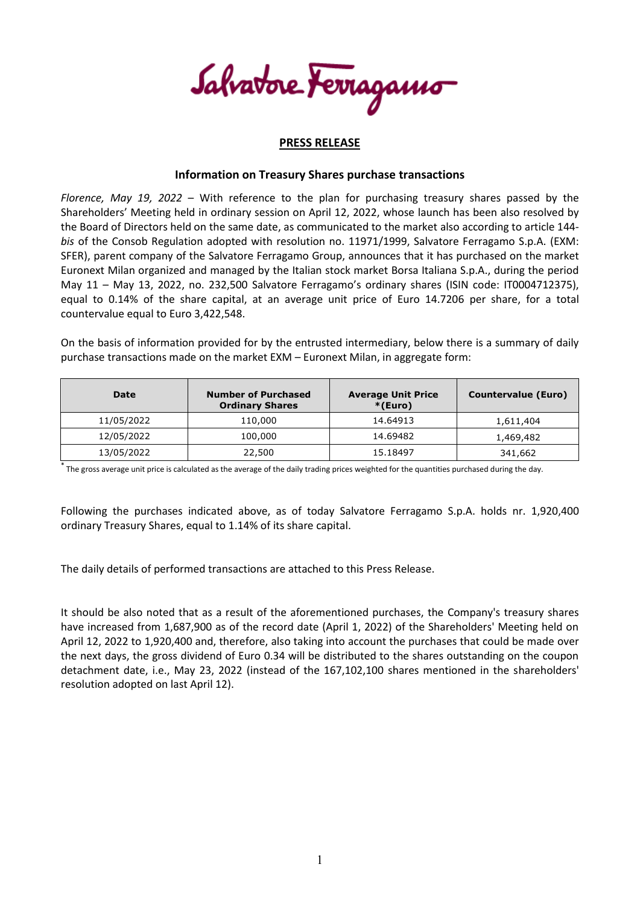Salvatore Ferragamo

## **PRESS RELEASE**

## **Information on Treasury Shares purchase transactions**

*Florence, May 19, 2022* – With reference to the plan for purchasing treasury shares passed by the Shareholders' Meeting held in ordinary session on April 12, 2022, whose launch has been also resolved by the Board of Directors held on the same date, as communicated to the market also according to article 144 *bis* of the Consob Regulation adopted with resolution no. 11971/1999, Salvatore Ferragamo S.p.A. (EXM: SFER), parent company of the Salvatore Ferragamo Group, announces that it has purchased on the market Euronext Milan organized and managed by the Italian stock market Borsa Italiana S.p.A., during the period May 11 – May 13, 2022, no. 232,500 Salvatore Ferragamo's ordinary shares (ISIN code: IT0004712375), equal to 0.14% of the share capital, at an average unit price of Euro 14.7206 per share, for a total countervalue equal to Euro 3,422,548.

On the basis of information provided for by the entrusted intermediary, below there is a summary of daily purchase transactions made on the market EXM – Euronext Milan, in aggregate form:

| Date       | <b>Number of Purchased</b><br><b>Ordinary Shares</b> | <b>Average Unit Price</b><br>$*(Euro)$ | <b>Countervalue (Euro)</b> |
|------------|------------------------------------------------------|----------------------------------------|----------------------------|
| 11/05/2022 | 110,000                                              | 14.64913                               | 1,611,404                  |
| 12/05/2022 | 100,000                                              | 14.69482                               | 1,469,482                  |
| 13/05/2022 | 22,500                                               | 15.18497                               | 341,662                    |

\* The gross average unit price is calculated as the average of the daily trading prices weighted for the quantities purchased during the day.

Following the purchases indicated above, as of today Salvatore Ferragamo S.p.A. holds nr. 1,920,400 ordinary Treasury Shares, equal to 1.14% of its share capital.

The daily details of performed transactions are attached to this Press Release.

It should be also noted that as a result of the aforementioned purchases, the Company's treasury shares have increased from 1,687,900 as of the record date (April 1, 2022) of the Shareholders' Meeting held on April 12, 2022 to 1,920,400 and, therefore, also taking into account the purchases that could be made over the next days, the gross dividend of Euro 0.34 will be distributed to the shares outstanding on the coupon detachment date, i.e., May 23, 2022 (instead of the 167,102,100 shares mentioned in the shareholders' resolution adopted on last April 12).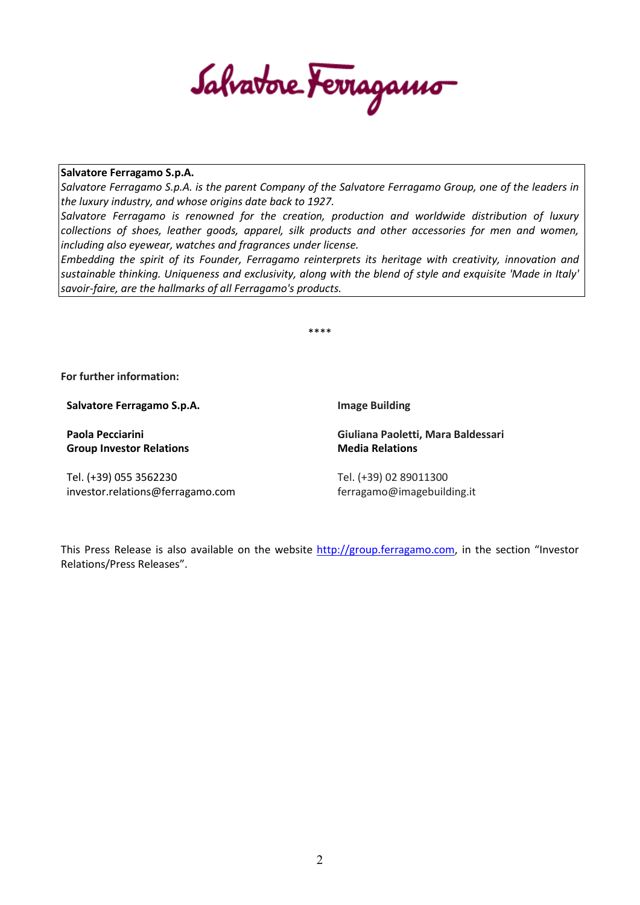Salvatore Ferragamo

## **Salvatore Ferragamo S.p.A.**

*Salvatore Ferragamo S.p.A. is the parent Company of the Salvatore Ferragamo Group, one of the leaders in the luxury industry, and whose origins date back to 1927.*

*Salvatore Ferragamo is renowned for the creation, production and worldwide distribution of luxury collections of shoes, leather goods, apparel, silk products and other accessories for men and women, including also eyewear, watches and fragrances under license.*

*Embedding the spirit of its Founder, Ferragamo reinterprets its heritage with creativity, innovation and sustainable thinking. Uniqueness and exclusivity, along with the blend of style and exquisite 'Made in Italy' savoir-faire, are the hallmarks of all Ferragamo's products.*

\*\*\*\*

**For further information:**

**Salvatore Ferragamo S.p.A.**

**Paola Pecciarini Group Investor Relations**

Tel. (+39) 055 3562230 investor.relations@ferragamo.com **Image Building**

**Giuliana Paoletti, Mara Baldessari Media Relations**

Tel. (+39) 02 89011300 ferragamo@imagebuilding.it

This Press Release is also available on the website [http://group.ferragamo.com,](http://group.ferragamo.com/) in the section "Investor Relations/Press Releases".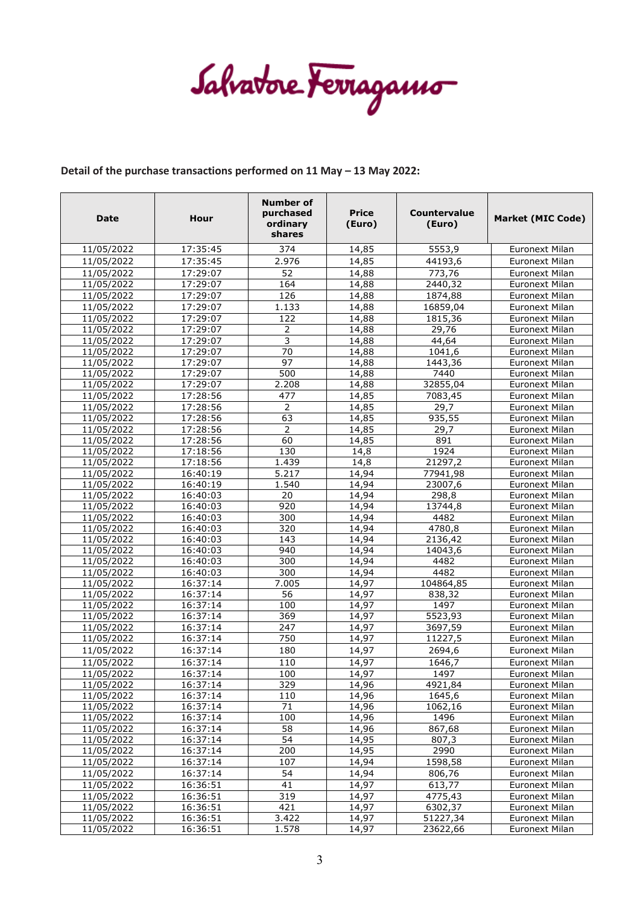Salvatore Ferragamo

## **Detail of the purchase transactions performed on 11 May – 13 May 2022:**

| 2.976<br>11/05/2022<br>17:35:45<br>14,85<br>44193,6<br>Euronext Milan<br>52<br>11/05/2022<br>17:29:07<br>773,76<br>14,88<br><b>Euronext Milan</b><br>11/05/2022<br>17:29:07<br>164<br>2440,32<br>14,88<br><b>Euronext Milan</b><br>126<br>1874,88<br>11/05/2022<br>17:29:07<br>14,88<br><b>Euronext Milan</b><br>11/05/2022<br>17:29:07<br>14,88<br>16859,04<br><b>Euronext Milan</b><br>1.133<br>17:29:07<br>1815,36<br>11/05/2022<br>122<br>14,88<br><b>Euronext Milan</b><br>17:29:07<br>29,76<br>11/05/2022<br>14,88<br><b>Euronext Milan</b><br>2<br>3<br>17:29:07<br>11/05/2022<br>14,88<br>44.64<br><b>Euronext Milan</b><br>70<br>11/05/2022<br>17:29:07<br>1041,6<br>14,88<br><b>Euronext Milan</b><br>97<br>17:29:07<br>11/05/2022<br>14,88<br>1443,36<br><b>Euronext Milan</b><br>17:29:07<br>11/05/2022<br>500<br>7440<br><b>Euronext Milan</b><br>14,88<br>17:29:07<br>2.208<br>32855,04<br>11/05/2022<br>14,88<br><b>Euronext Milan</b><br>11/05/2022<br>17:28:56<br>477<br>14,85<br>7083,45<br>Euronext Milan<br>11/05/2022<br>17:28:56<br>29,7<br>2<br>14,85<br><b>Euronext Milan</b><br>17:28:56<br>935,55<br>11/05/2022<br>63<br>14,85<br><b>Euronext Milan</b><br>17:28:56<br>2<br>11/05/2022<br>14,85<br>29,7<br><b>Euronext Milan</b><br>60<br>17:28:56<br>891<br>11/05/2022<br>14,85<br>Euronext Milan<br>11/05/2022<br>17:18:56<br>130<br>1924<br><b>Euronext Milan</b><br>14,8<br>1.439<br>21297,2<br>11/05/2022<br>17:18:56<br>14,8<br><b>Euronext Milan</b><br>5.217<br>11/05/2022<br>16:40:19<br>14,94<br>77941,98<br>Euronext Milan<br>11/05/2022<br>16:40:19<br>1.540<br>14,94<br>23007.6<br><b>Euronext Milan</b><br>298,8<br>11/05/2022<br>16:40:03<br>20<br>14,94<br>Euronext Milan<br>920<br>14,94<br>11/05/2022<br>16:40:03<br>13744,8<br><b>Euronext Milan</b><br>300<br>4482<br>11/05/2022<br>16:40:03<br>14,94<br><b>Euronext Milan</b><br>11/05/2022<br>16:40:03<br>320<br>14,94<br>4780,8<br><b>Euronext Milan</b><br>2136,42<br>11/05/2022<br>16:40:03<br>143<br>14,94<br><b>Euronext Milan</b><br>11/05/2022<br>16:40:03<br>940<br>14,94<br>14043,6<br><b>Euronext Milan</b><br>11/05/2022<br>16:40:03<br>300<br>14,94<br>4482<br>Euronext Milan<br>300<br>4482<br>11/05/2022<br>16:40:03<br>14,94<br><b>Euronext Milan</b><br>11/05/2022<br>16:37:14<br>7.005<br>14,97<br>104864,85<br>Euronext Milan<br>56<br>11/05/2022<br>16:37:14<br>14,97<br>838,32<br><b>Euronext Milan</b><br>11/05/2022<br>16:37:14<br>14,97<br>1497<br><b>Euronext Milan</b><br>100<br>369<br>5523,93<br>11/05/2022<br>16:37:14<br>14,97<br><b>Euronext Milan</b><br>16:37:14<br>247<br>3697,59<br>11/05/2022<br>14,97<br>Euronext Milan<br>750<br>11/05/2022<br>16:37:14<br>11227,5<br><b>Euronext Milan</b><br>14,97<br>11/05/2022<br>16:37:14<br>180<br>2694,6<br>14,97<br><b>Euronext Milan</b><br>11/05/2022<br>16:37:14<br>110<br>14,97<br>1646,7<br><b>Euronext Milan</b><br>11/05/2022<br>100<br>16:37:14<br>14,97<br>1497<br>Euronext Milan<br>329<br>11/05/2022<br>16:37:14<br>14,96<br>4921,84<br><b>Euronext Milan</b><br>11/05/2022<br>16:37:14<br>110<br>14,96<br>1645,6<br><b>Euronext Milan</b><br>71<br>11/05/2022<br>16:37:14<br>14,96<br>1062,16<br><b>Euronext Milan</b><br>100<br>16:37:14<br>14,96<br>1496<br>11/05/2022<br>Euronext Milan<br>58<br>867,68<br>11/05/2022<br>16:37:14<br>14,96<br>Euronext Milan<br>54<br>14,95<br>807,3<br>11/05/2022<br>16:37:14<br><b>Euronext Milan</b><br>200<br>2990<br>11/05/2022<br>16:37:14<br>14,95<br><b>Euronext Milan</b><br>11/05/2022<br>16:37:14<br>107<br>1598,58<br>14,94<br>Euronext Milan<br>54<br>14,94<br>806,76<br>11/05/2022<br>16:37:14<br>Euronext Milan<br>$\overline{41}$<br>613,77<br>11/05/2022<br>16:36:51<br>14,97<br><b>Euronext Milan</b><br>11/05/2022<br>319<br>14,97<br>4775,43<br>16:36:51<br><b>Euronext Milan</b><br>11/05/2022<br>16:36:51<br>421<br>14,97<br>6302,37<br>Euronext Milan<br>16:36:51<br>3.422<br>51227,34<br>11/05/2022<br>14,97<br>Euronext Milan<br>23622,66<br>11/05/2022<br>16:36:51<br>1.578<br><b>Euronext Milan</b><br>14,97 | <b>Date</b> | Hour     | <b>Number of</b><br>purchased<br>ordinary<br>shares | <b>Price</b><br>(Euro) | Countervalue<br>(Euro) | <b>Market (MIC Code)</b> |
|---------------------------------------------------------------------------------------------------------------------------------------------------------------------------------------------------------------------------------------------------------------------------------------------------------------------------------------------------------------------------------------------------------------------------------------------------------------------------------------------------------------------------------------------------------------------------------------------------------------------------------------------------------------------------------------------------------------------------------------------------------------------------------------------------------------------------------------------------------------------------------------------------------------------------------------------------------------------------------------------------------------------------------------------------------------------------------------------------------------------------------------------------------------------------------------------------------------------------------------------------------------------------------------------------------------------------------------------------------------------------------------------------------------------------------------------------------------------------------------------------------------------------------------------------------------------------------------------------------------------------------------------------------------------------------------------------------------------------------------------------------------------------------------------------------------------------------------------------------------------------------------------------------------------------------------------------------------------------------------------------------------------------------------------------------------------------------------------------------------------------------------------------------------------------------------------------------------------------------------------------------------------------------------------------------------------------------------------------------------------------------------------------------------------------------------------------------------------------------------------------------------------------------------------------------------------------------------------------------------------------------------------------------------------------------------------------------------------------------------------------------------------------------------------------------------------------------------------------------------------------------------------------------------------------------------------------------------------------------------------------------------------------------------------------------------------------------------------------------------------------------------------------------------------------------------------------------------------------------------------------------------------------------------------------------------------------------------------------------------------------------------------------------------------------------------------------------------------------------------------------------------------------------------------------------------------------------------------------------------------------------------------------------------------------------------------------------------------------------------------------------------------------------------------------------------------------------------------------------------------------------------------------------------------------------------------------------------------------------------------------------------------------------------------------------------------|-------------|----------|-----------------------------------------------------|------------------------|------------------------|--------------------------|
|                                                                                                                                                                                                                                                                                                                                                                                                                                                                                                                                                                                                                                                                                                                                                                                                                                                                                                                                                                                                                                                                                                                                                                                                                                                                                                                                                                                                                                                                                                                                                                                                                                                                                                                                                                                                                                                                                                                                                                                                                                                                                                                                                                                                                                                                                                                                                                                                                                                                                                                                                                                                                                                                                                                                                                                                                                                                                                                                                                                                                                                                                                                                                                                                                                                                                                                                                                                                                                                                                                                                                                                                                                                                                                                                                                                                                                                                                                                                                                                                                                                                     | 11/05/2022  | 17:35:45 | 374                                                 | 14,85                  | 5553,9                 | <b>Euronext Milan</b>    |
|                                                                                                                                                                                                                                                                                                                                                                                                                                                                                                                                                                                                                                                                                                                                                                                                                                                                                                                                                                                                                                                                                                                                                                                                                                                                                                                                                                                                                                                                                                                                                                                                                                                                                                                                                                                                                                                                                                                                                                                                                                                                                                                                                                                                                                                                                                                                                                                                                                                                                                                                                                                                                                                                                                                                                                                                                                                                                                                                                                                                                                                                                                                                                                                                                                                                                                                                                                                                                                                                                                                                                                                                                                                                                                                                                                                                                                                                                                                                                                                                                                                                     |             |          |                                                     |                        |                        |                          |
|                                                                                                                                                                                                                                                                                                                                                                                                                                                                                                                                                                                                                                                                                                                                                                                                                                                                                                                                                                                                                                                                                                                                                                                                                                                                                                                                                                                                                                                                                                                                                                                                                                                                                                                                                                                                                                                                                                                                                                                                                                                                                                                                                                                                                                                                                                                                                                                                                                                                                                                                                                                                                                                                                                                                                                                                                                                                                                                                                                                                                                                                                                                                                                                                                                                                                                                                                                                                                                                                                                                                                                                                                                                                                                                                                                                                                                                                                                                                                                                                                                                                     |             |          |                                                     |                        |                        |                          |
|                                                                                                                                                                                                                                                                                                                                                                                                                                                                                                                                                                                                                                                                                                                                                                                                                                                                                                                                                                                                                                                                                                                                                                                                                                                                                                                                                                                                                                                                                                                                                                                                                                                                                                                                                                                                                                                                                                                                                                                                                                                                                                                                                                                                                                                                                                                                                                                                                                                                                                                                                                                                                                                                                                                                                                                                                                                                                                                                                                                                                                                                                                                                                                                                                                                                                                                                                                                                                                                                                                                                                                                                                                                                                                                                                                                                                                                                                                                                                                                                                                                                     |             |          |                                                     |                        |                        |                          |
|                                                                                                                                                                                                                                                                                                                                                                                                                                                                                                                                                                                                                                                                                                                                                                                                                                                                                                                                                                                                                                                                                                                                                                                                                                                                                                                                                                                                                                                                                                                                                                                                                                                                                                                                                                                                                                                                                                                                                                                                                                                                                                                                                                                                                                                                                                                                                                                                                                                                                                                                                                                                                                                                                                                                                                                                                                                                                                                                                                                                                                                                                                                                                                                                                                                                                                                                                                                                                                                                                                                                                                                                                                                                                                                                                                                                                                                                                                                                                                                                                                                                     |             |          |                                                     |                        |                        |                          |
|                                                                                                                                                                                                                                                                                                                                                                                                                                                                                                                                                                                                                                                                                                                                                                                                                                                                                                                                                                                                                                                                                                                                                                                                                                                                                                                                                                                                                                                                                                                                                                                                                                                                                                                                                                                                                                                                                                                                                                                                                                                                                                                                                                                                                                                                                                                                                                                                                                                                                                                                                                                                                                                                                                                                                                                                                                                                                                                                                                                                                                                                                                                                                                                                                                                                                                                                                                                                                                                                                                                                                                                                                                                                                                                                                                                                                                                                                                                                                                                                                                                                     |             |          |                                                     |                        |                        |                          |
|                                                                                                                                                                                                                                                                                                                                                                                                                                                                                                                                                                                                                                                                                                                                                                                                                                                                                                                                                                                                                                                                                                                                                                                                                                                                                                                                                                                                                                                                                                                                                                                                                                                                                                                                                                                                                                                                                                                                                                                                                                                                                                                                                                                                                                                                                                                                                                                                                                                                                                                                                                                                                                                                                                                                                                                                                                                                                                                                                                                                                                                                                                                                                                                                                                                                                                                                                                                                                                                                                                                                                                                                                                                                                                                                                                                                                                                                                                                                                                                                                                                                     |             |          |                                                     |                        |                        |                          |
|                                                                                                                                                                                                                                                                                                                                                                                                                                                                                                                                                                                                                                                                                                                                                                                                                                                                                                                                                                                                                                                                                                                                                                                                                                                                                                                                                                                                                                                                                                                                                                                                                                                                                                                                                                                                                                                                                                                                                                                                                                                                                                                                                                                                                                                                                                                                                                                                                                                                                                                                                                                                                                                                                                                                                                                                                                                                                                                                                                                                                                                                                                                                                                                                                                                                                                                                                                                                                                                                                                                                                                                                                                                                                                                                                                                                                                                                                                                                                                                                                                                                     |             |          |                                                     |                        |                        |                          |
|                                                                                                                                                                                                                                                                                                                                                                                                                                                                                                                                                                                                                                                                                                                                                                                                                                                                                                                                                                                                                                                                                                                                                                                                                                                                                                                                                                                                                                                                                                                                                                                                                                                                                                                                                                                                                                                                                                                                                                                                                                                                                                                                                                                                                                                                                                                                                                                                                                                                                                                                                                                                                                                                                                                                                                                                                                                                                                                                                                                                                                                                                                                                                                                                                                                                                                                                                                                                                                                                                                                                                                                                                                                                                                                                                                                                                                                                                                                                                                                                                                                                     |             |          |                                                     |                        |                        |                          |
|                                                                                                                                                                                                                                                                                                                                                                                                                                                                                                                                                                                                                                                                                                                                                                                                                                                                                                                                                                                                                                                                                                                                                                                                                                                                                                                                                                                                                                                                                                                                                                                                                                                                                                                                                                                                                                                                                                                                                                                                                                                                                                                                                                                                                                                                                                                                                                                                                                                                                                                                                                                                                                                                                                                                                                                                                                                                                                                                                                                                                                                                                                                                                                                                                                                                                                                                                                                                                                                                                                                                                                                                                                                                                                                                                                                                                                                                                                                                                                                                                                                                     |             |          |                                                     |                        |                        |                          |
|                                                                                                                                                                                                                                                                                                                                                                                                                                                                                                                                                                                                                                                                                                                                                                                                                                                                                                                                                                                                                                                                                                                                                                                                                                                                                                                                                                                                                                                                                                                                                                                                                                                                                                                                                                                                                                                                                                                                                                                                                                                                                                                                                                                                                                                                                                                                                                                                                                                                                                                                                                                                                                                                                                                                                                                                                                                                                                                                                                                                                                                                                                                                                                                                                                                                                                                                                                                                                                                                                                                                                                                                                                                                                                                                                                                                                                                                                                                                                                                                                                                                     |             |          |                                                     |                        |                        |                          |
|                                                                                                                                                                                                                                                                                                                                                                                                                                                                                                                                                                                                                                                                                                                                                                                                                                                                                                                                                                                                                                                                                                                                                                                                                                                                                                                                                                                                                                                                                                                                                                                                                                                                                                                                                                                                                                                                                                                                                                                                                                                                                                                                                                                                                                                                                                                                                                                                                                                                                                                                                                                                                                                                                                                                                                                                                                                                                                                                                                                                                                                                                                                                                                                                                                                                                                                                                                                                                                                                                                                                                                                                                                                                                                                                                                                                                                                                                                                                                                                                                                                                     |             |          |                                                     |                        |                        |                          |
|                                                                                                                                                                                                                                                                                                                                                                                                                                                                                                                                                                                                                                                                                                                                                                                                                                                                                                                                                                                                                                                                                                                                                                                                                                                                                                                                                                                                                                                                                                                                                                                                                                                                                                                                                                                                                                                                                                                                                                                                                                                                                                                                                                                                                                                                                                                                                                                                                                                                                                                                                                                                                                                                                                                                                                                                                                                                                                                                                                                                                                                                                                                                                                                                                                                                                                                                                                                                                                                                                                                                                                                                                                                                                                                                                                                                                                                                                                                                                                                                                                                                     |             |          |                                                     |                        |                        |                          |
|                                                                                                                                                                                                                                                                                                                                                                                                                                                                                                                                                                                                                                                                                                                                                                                                                                                                                                                                                                                                                                                                                                                                                                                                                                                                                                                                                                                                                                                                                                                                                                                                                                                                                                                                                                                                                                                                                                                                                                                                                                                                                                                                                                                                                                                                                                                                                                                                                                                                                                                                                                                                                                                                                                                                                                                                                                                                                                                                                                                                                                                                                                                                                                                                                                                                                                                                                                                                                                                                                                                                                                                                                                                                                                                                                                                                                                                                                                                                                                                                                                                                     |             |          |                                                     |                        |                        |                          |
|                                                                                                                                                                                                                                                                                                                                                                                                                                                                                                                                                                                                                                                                                                                                                                                                                                                                                                                                                                                                                                                                                                                                                                                                                                                                                                                                                                                                                                                                                                                                                                                                                                                                                                                                                                                                                                                                                                                                                                                                                                                                                                                                                                                                                                                                                                                                                                                                                                                                                                                                                                                                                                                                                                                                                                                                                                                                                                                                                                                                                                                                                                                                                                                                                                                                                                                                                                                                                                                                                                                                                                                                                                                                                                                                                                                                                                                                                                                                                                                                                                                                     |             |          |                                                     |                        |                        |                          |
|                                                                                                                                                                                                                                                                                                                                                                                                                                                                                                                                                                                                                                                                                                                                                                                                                                                                                                                                                                                                                                                                                                                                                                                                                                                                                                                                                                                                                                                                                                                                                                                                                                                                                                                                                                                                                                                                                                                                                                                                                                                                                                                                                                                                                                                                                                                                                                                                                                                                                                                                                                                                                                                                                                                                                                                                                                                                                                                                                                                                                                                                                                                                                                                                                                                                                                                                                                                                                                                                                                                                                                                                                                                                                                                                                                                                                                                                                                                                                                                                                                                                     |             |          |                                                     |                        |                        |                          |
|                                                                                                                                                                                                                                                                                                                                                                                                                                                                                                                                                                                                                                                                                                                                                                                                                                                                                                                                                                                                                                                                                                                                                                                                                                                                                                                                                                                                                                                                                                                                                                                                                                                                                                                                                                                                                                                                                                                                                                                                                                                                                                                                                                                                                                                                                                                                                                                                                                                                                                                                                                                                                                                                                                                                                                                                                                                                                                                                                                                                                                                                                                                                                                                                                                                                                                                                                                                                                                                                                                                                                                                                                                                                                                                                                                                                                                                                                                                                                                                                                                                                     |             |          |                                                     |                        |                        |                          |
|                                                                                                                                                                                                                                                                                                                                                                                                                                                                                                                                                                                                                                                                                                                                                                                                                                                                                                                                                                                                                                                                                                                                                                                                                                                                                                                                                                                                                                                                                                                                                                                                                                                                                                                                                                                                                                                                                                                                                                                                                                                                                                                                                                                                                                                                                                                                                                                                                                                                                                                                                                                                                                                                                                                                                                                                                                                                                                                                                                                                                                                                                                                                                                                                                                                                                                                                                                                                                                                                                                                                                                                                                                                                                                                                                                                                                                                                                                                                                                                                                                                                     |             |          |                                                     |                        |                        |                          |
|                                                                                                                                                                                                                                                                                                                                                                                                                                                                                                                                                                                                                                                                                                                                                                                                                                                                                                                                                                                                                                                                                                                                                                                                                                                                                                                                                                                                                                                                                                                                                                                                                                                                                                                                                                                                                                                                                                                                                                                                                                                                                                                                                                                                                                                                                                                                                                                                                                                                                                                                                                                                                                                                                                                                                                                                                                                                                                                                                                                                                                                                                                                                                                                                                                                                                                                                                                                                                                                                                                                                                                                                                                                                                                                                                                                                                                                                                                                                                                                                                                                                     |             |          |                                                     |                        |                        |                          |
|                                                                                                                                                                                                                                                                                                                                                                                                                                                                                                                                                                                                                                                                                                                                                                                                                                                                                                                                                                                                                                                                                                                                                                                                                                                                                                                                                                                                                                                                                                                                                                                                                                                                                                                                                                                                                                                                                                                                                                                                                                                                                                                                                                                                                                                                                                                                                                                                                                                                                                                                                                                                                                                                                                                                                                                                                                                                                                                                                                                                                                                                                                                                                                                                                                                                                                                                                                                                                                                                                                                                                                                                                                                                                                                                                                                                                                                                                                                                                                                                                                                                     |             |          |                                                     |                        |                        |                          |
|                                                                                                                                                                                                                                                                                                                                                                                                                                                                                                                                                                                                                                                                                                                                                                                                                                                                                                                                                                                                                                                                                                                                                                                                                                                                                                                                                                                                                                                                                                                                                                                                                                                                                                                                                                                                                                                                                                                                                                                                                                                                                                                                                                                                                                                                                                                                                                                                                                                                                                                                                                                                                                                                                                                                                                                                                                                                                                                                                                                                                                                                                                                                                                                                                                                                                                                                                                                                                                                                                                                                                                                                                                                                                                                                                                                                                                                                                                                                                                                                                                                                     |             |          |                                                     |                        |                        |                          |
|                                                                                                                                                                                                                                                                                                                                                                                                                                                                                                                                                                                                                                                                                                                                                                                                                                                                                                                                                                                                                                                                                                                                                                                                                                                                                                                                                                                                                                                                                                                                                                                                                                                                                                                                                                                                                                                                                                                                                                                                                                                                                                                                                                                                                                                                                                                                                                                                                                                                                                                                                                                                                                                                                                                                                                                                                                                                                                                                                                                                                                                                                                                                                                                                                                                                                                                                                                                                                                                                                                                                                                                                                                                                                                                                                                                                                                                                                                                                                                                                                                                                     |             |          |                                                     |                        |                        |                          |
|                                                                                                                                                                                                                                                                                                                                                                                                                                                                                                                                                                                                                                                                                                                                                                                                                                                                                                                                                                                                                                                                                                                                                                                                                                                                                                                                                                                                                                                                                                                                                                                                                                                                                                                                                                                                                                                                                                                                                                                                                                                                                                                                                                                                                                                                                                                                                                                                                                                                                                                                                                                                                                                                                                                                                                                                                                                                                                                                                                                                                                                                                                                                                                                                                                                                                                                                                                                                                                                                                                                                                                                                                                                                                                                                                                                                                                                                                                                                                                                                                                                                     |             |          |                                                     |                        |                        |                          |
|                                                                                                                                                                                                                                                                                                                                                                                                                                                                                                                                                                                                                                                                                                                                                                                                                                                                                                                                                                                                                                                                                                                                                                                                                                                                                                                                                                                                                                                                                                                                                                                                                                                                                                                                                                                                                                                                                                                                                                                                                                                                                                                                                                                                                                                                                                                                                                                                                                                                                                                                                                                                                                                                                                                                                                                                                                                                                                                                                                                                                                                                                                                                                                                                                                                                                                                                                                                                                                                                                                                                                                                                                                                                                                                                                                                                                                                                                                                                                                                                                                                                     |             |          |                                                     |                        |                        |                          |
|                                                                                                                                                                                                                                                                                                                                                                                                                                                                                                                                                                                                                                                                                                                                                                                                                                                                                                                                                                                                                                                                                                                                                                                                                                                                                                                                                                                                                                                                                                                                                                                                                                                                                                                                                                                                                                                                                                                                                                                                                                                                                                                                                                                                                                                                                                                                                                                                                                                                                                                                                                                                                                                                                                                                                                                                                                                                                                                                                                                                                                                                                                                                                                                                                                                                                                                                                                                                                                                                                                                                                                                                                                                                                                                                                                                                                                                                                                                                                                                                                                                                     |             |          |                                                     |                        |                        |                          |
|                                                                                                                                                                                                                                                                                                                                                                                                                                                                                                                                                                                                                                                                                                                                                                                                                                                                                                                                                                                                                                                                                                                                                                                                                                                                                                                                                                                                                                                                                                                                                                                                                                                                                                                                                                                                                                                                                                                                                                                                                                                                                                                                                                                                                                                                                                                                                                                                                                                                                                                                                                                                                                                                                                                                                                                                                                                                                                                                                                                                                                                                                                                                                                                                                                                                                                                                                                                                                                                                                                                                                                                                                                                                                                                                                                                                                                                                                                                                                                                                                                                                     |             |          |                                                     |                        |                        |                          |
|                                                                                                                                                                                                                                                                                                                                                                                                                                                                                                                                                                                                                                                                                                                                                                                                                                                                                                                                                                                                                                                                                                                                                                                                                                                                                                                                                                                                                                                                                                                                                                                                                                                                                                                                                                                                                                                                                                                                                                                                                                                                                                                                                                                                                                                                                                                                                                                                                                                                                                                                                                                                                                                                                                                                                                                                                                                                                                                                                                                                                                                                                                                                                                                                                                                                                                                                                                                                                                                                                                                                                                                                                                                                                                                                                                                                                                                                                                                                                                                                                                                                     |             |          |                                                     |                        |                        |                          |
|                                                                                                                                                                                                                                                                                                                                                                                                                                                                                                                                                                                                                                                                                                                                                                                                                                                                                                                                                                                                                                                                                                                                                                                                                                                                                                                                                                                                                                                                                                                                                                                                                                                                                                                                                                                                                                                                                                                                                                                                                                                                                                                                                                                                                                                                                                                                                                                                                                                                                                                                                                                                                                                                                                                                                                                                                                                                                                                                                                                                                                                                                                                                                                                                                                                                                                                                                                                                                                                                                                                                                                                                                                                                                                                                                                                                                                                                                                                                                                                                                                                                     |             |          |                                                     |                        |                        |                          |
|                                                                                                                                                                                                                                                                                                                                                                                                                                                                                                                                                                                                                                                                                                                                                                                                                                                                                                                                                                                                                                                                                                                                                                                                                                                                                                                                                                                                                                                                                                                                                                                                                                                                                                                                                                                                                                                                                                                                                                                                                                                                                                                                                                                                                                                                                                                                                                                                                                                                                                                                                                                                                                                                                                                                                                                                                                                                                                                                                                                                                                                                                                                                                                                                                                                                                                                                                                                                                                                                                                                                                                                                                                                                                                                                                                                                                                                                                                                                                                                                                                                                     |             |          |                                                     |                        |                        |                          |
|                                                                                                                                                                                                                                                                                                                                                                                                                                                                                                                                                                                                                                                                                                                                                                                                                                                                                                                                                                                                                                                                                                                                                                                                                                                                                                                                                                                                                                                                                                                                                                                                                                                                                                                                                                                                                                                                                                                                                                                                                                                                                                                                                                                                                                                                                                                                                                                                                                                                                                                                                                                                                                                                                                                                                                                                                                                                                                                                                                                                                                                                                                                                                                                                                                                                                                                                                                                                                                                                                                                                                                                                                                                                                                                                                                                                                                                                                                                                                                                                                                                                     |             |          |                                                     |                        |                        |                          |
|                                                                                                                                                                                                                                                                                                                                                                                                                                                                                                                                                                                                                                                                                                                                                                                                                                                                                                                                                                                                                                                                                                                                                                                                                                                                                                                                                                                                                                                                                                                                                                                                                                                                                                                                                                                                                                                                                                                                                                                                                                                                                                                                                                                                                                                                                                                                                                                                                                                                                                                                                                                                                                                                                                                                                                                                                                                                                                                                                                                                                                                                                                                                                                                                                                                                                                                                                                                                                                                                                                                                                                                                                                                                                                                                                                                                                                                                                                                                                                                                                                                                     |             |          |                                                     |                        |                        |                          |
|                                                                                                                                                                                                                                                                                                                                                                                                                                                                                                                                                                                                                                                                                                                                                                                                                                                                                                                                                                                                                                                                                                                                                                                                                                                                                                                                                                                                                                                                                                                                                                                                                                                                                                                                                                                                                                                                                                                                                                                                                                                                                                                                                                                                                                                                                                                                                                                                                                                                                                                                                                                                                                                                                                                                                                                                                                                                                                                                                                                                                                                                                                                                                                                                                                                                                                                                                                                                                                                                                                                                                                                                                                                                                                                                                                                                                                                                                                                                                                                                                                                                     |             |          |                                                     |                        |                        |                          |
|                                                                                                                                                                                                                                                                                                                                                                                                                                                                                                                                                                                                                                                                                                                                                                                                                                                                                                                                                                                                                                                                                                                                                                                                                                                                                                                                                                                                                                                                                                                                                                                                                                                                                                                                                                                                                                                                                                                                                                                                                                                                                                                                                                                                                                                                                                                                                                                                                                                                                                                                                                                                                                                                                                                                                                                                                                                                                                                                                                                                                                                                                                                                                                                                                                                                                                                                                                                                                                                                                                                                                                                                                                                                                                                                                                                                                                                                                                                                                                                                                                                                     |             |          |                                                     |                        |                        |                          |
|                                                                                                                                                                                                                                                                                                                                                                                                                                                                                                                                                                                                                                                                                                                                                                                                                                                                                                                                                                                                                                                                                                                                                                                                                                                                                                                                                                                                                                                                                                                                                                                                                                                                                                                                                                                                                                                                                                                                                                                                                                                                                                                                                                                                                                                                                                                                                                                                                                                                                                                                                                                                                                                                                                                                                                                                                                                                                                                                                                                                                                                                                                                                                                                                                                                                                                                                                                                                                                                                                                                                                                                                                                                                                                                                                                                                                                                                                                                                                                                                                                                                     |             |          |                                                     |                        |                        |                          |
|                                                                                                                                                                                                                                                                                                                                                                                                                                                                                                                                                                                                                                                                                                                                                                                                                                                                                                                                                                                                                                                                                                                                                                                                                                                                                                                                                                                                                                                                                                                                                                                                                                                                                                                                                                                                                                                                                                                                                                                                                                                                                                                                                                                                                                                                                                                                                                                                                                                                                                                                                                                                                                                                                                                                                                                                                                                                                                                                                                                                                                                                                                                                                                                                                                                                                                                                                                                                                                                                                                                                                                                                                                                                                                                                                                                                                                                                                                                                                                                                                                                                     |             |          |                                                     |                        |                        |                          |
|                                                                                                                                                                                                                                                                                                                                                                                                                                                                                                                                                                                                                                                                                                                                                                                                                                                                                                                                                                                                                                                                                                                                                                                                                                                                                                                                                                                                                                                                                                                                                                                                                                                                                                                                                                                                                                                                                                                                                                                                                                                                                                                                                                                                                                                                                                                                                                                                                                                                                                                                                                                                                                                                                                                                                                                                                                                                                                                                                                                                                                                                                                                                                                                                                                                                                                                                                                                                                                                                                                                                                                                                                                                                                                                                                                                                                                                                                                                                                                                                                                                                     |             |          |                                                     |                        |                        |                          |
|                                                                                                                                                                                                                                                                                                                                                                                                                                                                                                                                                                                                                                                                                                                                                                                                                                                                                                                                                                                                                                                                                                                                                                                                                                                                                                                                                                                                                                                                                                                                                                                                                                                                                                                                                                                                                                                                                                                                                                                                                                                                                                                                                                                                                                                                                                                                                                                                                                                                                                                                                                                                                                                                                                                                                                                                                                                                                                                                                                                                                                                                                                                                                                                                                                                                                                                                                                                                                                                                                                                                                                                                                                                                                                                                                                                                                                                                                                                                                                                                                                                                     |             |          |                                                     |                        |                        |                          |
|                                                                                                                                                                                                                                                                                                                                                                                                                                                                                                                                                                                                                                                                                                                                                                                                                                                                                                                                                                                                                                                                                                                                                                                                                                                                                                                                                                                                                                                                                                                                                                                                                                                                                                                                                                                                                                                                                                                                                                                                                                                                                                                                                                                                                                                                                                                                                                                                                                                                                                                                                                                                                                                                                                                                                                                                                                                                                                                                                                                                                                                                                                                                                                                                                                                                                                                                                                                                                                                                                                                                                                                                                                                                                                                                                                                                                                                                                                                                                                                                                                                                     |             |          |                                                     |                        |                        |                          |
|                                                                                                                                                                                                                                                                                                                                                                                                                                                                                                                                                                                                                                                                                                                                                                                                                                                                                                                                                                                                                                                                                                                                                                                                                                                                                                                                                                                                                                                                                                                                                                                                                                                                                                                                                                                                                                                                                                                                                                                                                                                                                                                                                                                                                                                                                                                                                                                                                                                                                                                                                                                                                                                                                                                                                                                                                                                                                                                                                                                                                                                                                                                                                                                                                                                                                                                                                                                                                                                                                                                                                                                                                                                                                                                                                                                                                                                                                                                                                                                                                                                                     |             |          |                                                     |                        |                        |                          |
|                                                                                                                                                                                                                                                                                                                                                                                                                                                                                                                                                                                                                                                                                                                                                                                                                                                                                                                                                                                                                                                                                                                                                                                                                                                                                                                                                                                                                                                                                                                                                                                                                                                                                                                                                                                                                                                                                                                                                                                                                                                                                                                                                                                                                                                                                                                                                                                                                                                                                                                                                                                                                                                                                                                                                                                                                                                                                                                                                                                                                                                                                                                                                                                                                                                                                                                                                                                                                                                                                                                                                                                                                                                                                                                                                                                                                                                                                                                                                                                                                                                                     |             |          |                                                     |                        |                        |                          |
|                                                                                                                                                                                                                                                                                                                                                                                                                                                                                                                                                                                                                                                                                                                                                                                                                                                                                                                                                                                                                                                                                                                                                                                                                                                                                                                                                                                                                                                                                                                                                                                                                                                                                                                                                                                                                                                                                                                                                                                                                                                                                                                                                                                                                                                                                                                                                                                                                                                                                                                                                                                                                                                                                                                                                                                                                                                                                                                                                                                                                                                                                                                                                                                                                                                                                                                                                                                                                                                                                                                                                                                                                                                                                                                                                                                                                                                                                                                                                                                                                                                                     |             |          |                                                     |                        |                        |                          |
|                                                                                                                                                                                                                                                                                                                                                                                                                                                                                                                                                                                                                                                                                                                                                                                                                                                                                                                                                                                                                                                                                                                                                                                                                                                                                                                                                                                                                                                                                                                                                                                                                                                                                                                                                                                                                                                                                                                                                                                                                                                                                                                                                                                                                                                                                                                                                                                                                                                                                                                                                                                                                                                                                                                                                                                                                                                                                                                                                                                                                                                                                                                                                                                                                                                                                                                                                                                                                                                                                                                                                                                                                                                                                                                                                                                                                                                                                                                                                                                                                                                                     |             |          |                                                     |                        |                        |                          |
|                                                                                                                                                                                                                                                                                                                                                                                                                                                                                                                                                                                                                                                                                                                                                                                                                                                                                                                                                                                                                                                                                                                                                                                                                                                                                                                                                                                                                                                                                                                                                                                                                                                                                                                                                                                                                                                                                                                                                                                                                                                                                                                                                                                                                                                                                                                                                                                                                                                                                                                                                                                                                                                                                                                                                                                                                                                                                                                                                                                                                                                                                                                                                                                                                                                                                                                                                                                                                                                                                                                                                                                                                                                                                                                                                                                                                                                                                                                                                                                                                                                                     |             |          |                                                     |                        |                        |                          |
|                                                                                                                                                                                                                                                                                                                                                                                                                                                                                                                                                                                                                                                                                                                                                                                                                                                                                                                                                                                                                                                                                                                                                                                                                                                                                                                                                                                                                                                                                                                                                                                                                                                                                                                                                                                                                                                                                                                                                                                                                                                                                                                                                                                                                                                                                                                                                                                                                                                                                                                                                                                                                                                                                                                                                                                                                                                                                                                                                                                                                                                                                                                                                                                                                                                                                                                                                                                                                                                                                                                                                                                                                                                                                                                                                                                                                                                                                                                                                                                                                                                                     |             |          |                                                     |                        |                        |                          |
|                                                                                                                                                                                                                                                                                                                                                                                                                                                                                                                                                                                                                                                                                                                                                                                                                                                                                                                                                                                                                                                                                                                                                                                                                                                                                                                                                                                                                                                                                                                                                                                                                                                                                                                                                                                                                                                                                                                                                                                                                                                                                                                                                                                                                                                                                                                                                                                                                                                                                                                                                                                                                                                                                                                                                                                                                                                                                                                                                                                                                                                                                                                                                                                                                                                                                                                                                                                                                                                                                                                                                                                                                                                                                                                                                                                                                                                                                                                                                                                                                                                                     |             |          |                                                     |                        |                        |                          |
|                                                                                                                                                                                                                                                                                                                                                                                                                                                                                                                                                                                                                                                                                                                                                                                                                                                                                                                                                                                                                                                                                                                                                                                                                                                                                                                                                                                                                                                                                                                                                                                                                                                                                                                                                                                                                                                                                                                                                                                                                                                                                                                                                                                                                                                                                                                                                                                                                                                                                                                                                                                                                                                                                                                                                                                                                                                                                                                                                                                                                                                                                                                                                                                                                                                                                                                                                                                                                                                                                                                                                                                                                                                                                                                                                                                                                                                                                                                                                                                                                                                                     |             |          |                                                     |                        |                        |                          |
|                                                                                                                                                                                                                                                                                                                                                                                                                                                                                                                                                                                                                                                                                                                                                                                                                                                                                                                                                                                                                                                                                                                                                                                                                                                                                                                                                                                                                                                                                                                                                                                                                                                                                                                                                                                                                                                                                                                                                                                                                                                                                                                                                                                                                                                                                                                                                                                                                                                                                                                                                                                                                                                                                                                                                                                                                                                                                                                                                                                                                                                                                                                                                                                                                                                                                                                                                                                                                                                                                                                                                                                                                                                                                                                                                                                                                                                                                                                                                                                                                                                                     |             |          |                                                     |                        |                        |                          |
|                                                                                                                                                                                                                                                                                                                                                                                                                                                                                                                                                                                                                                                                                                                                                                                                                                                                                                                                                                                                                                                                                                                                                                                                                                                                                                                                                                                                                                                                                                                                                                                                                                                                                                                                                                                                                                                                                                                                                                                                                                                                                                                                                                                                                                                                                                                                                                                                                                                                                                                                                                                                                                                                                                                                                                                                                                                                                                                                                                                                                                                                                                                                                                                                                                                                                                                                                                                                                                                                                                                                                                                                                                                                                                                                                                                                                                                                                                                                                                                                                                                                     |             |          |                                                     |                        |                        |                          |
|                                                                                                                                                                                                                                                                                                                                                                                                                                                                                                                                                                                                                                                                                                                                                                                                                                                                                                                                                                                                                                                                                                                                                                                                                                                                                                                                                                                                                                                                                                                                                                                                                                                                                                                                                                                                                                                                                                                                                                                                                                                                                                                                                                                                                                                                                                                                                                                                                                                                                                                                                                                                                                                                                                                                                                                                                                                                                                                                                                                                                                                                                                                                                                                                                                                                                                                                                                                                                                                                                                                                                                                                                                                                                                                                                                                                                                                                                                                                                                                                                                                                     |             |          |                                                     |                        |                        |                          |
|                                                                                                                                                                                                                                                                                                                                                                                                                                                                                                                                                                                                                                                                                                                                                                                                                                                                                                                                                                                                                                                                                                                                                                                                                                                                                                                                                                                                                                                                                                                                                                                                                                                                                                                                                                                                                                                                                                                                                                                                                                                                                                                                                                                                                                                                                                                                                                                                                                                                                                                                                                                                                                                                                                                                                                                                                                                                                                                                                                                                                                                                                                                                                                                                                                                                                                                                                                                                                                                                                                                                                                                                                                                                                                                                                                                                                                                                                                                                                                                                                                                                     |             |          |                                                     |                        |                        |                          |
|                                                                                                                                                                                                                                                                                                                                                                                                                                                                                                                                                                                                                                                                                                                                                                                                                                                                                                                                                                                                                                                                                                                                                                                                                                                                                                                                                                                                                                                                                                                                                                                                                                                                                                                                                                                                                                                                                                                                                                                                                                                                                                                                                                                                                                                                                                                                                                                                                                                                                                                                                                                                                                                                                                                                                                                                                                                                                                                                                                                                                                                                                                                                                                                                                                                                                                                                                                                                                                                                                                                                                                                                                                                                                                                                                                                                                                                                                                                                                                                                                                                                     |             |          |                                                     |                        |                        |                          |
|                                                                                                                                                                                                                                                                                                                                                                                                                                                                                                                                                                                                                                                                                                                                                                                                                                                                                                                                                                                                                                                                                                                                                                                                                                                                                                                                                                                                                                                                                                                                                                                                                                                                                                                                                                                                                                                                                                                                                                                                                                                                                                                                                                                                                                                                                                                                                                                                                                                                                                                                                                                                                                                                                                                                                                                                                                                                                                                                                                                                                                                                                                                                                                                                                                                                                                                                                                                                                                                                                                                                                                                                                                                                                                                                                                                                                                                                                                                                                                                                                                                                     |             |          |                                                     |                        |                        |                          |
|                                                                                                                                                                                                                                                                                                                                                                                                                                                                                                                                                                                                                                                                                                                                                                                                                                                                                                                                                                                                                                                                                                                                                                                                                                                                                                                                                                                                                                                                                                                                                                                                                                                                                                                                                                                                                                                                                                                                                                                                                                                                                                                                                                                                                                                                                                                                                                                                                                                                                                                                                                                                                                                                                                                                                                                                                                                                                                                                                                                                                                                                                                                                                                                                                                                                                                                                                                                                                                                                                                                                                                                                                                                                                                                                                                                                                                                                                                                                                                                                                                                                     |             |          |                                                     |                        |                        |                          |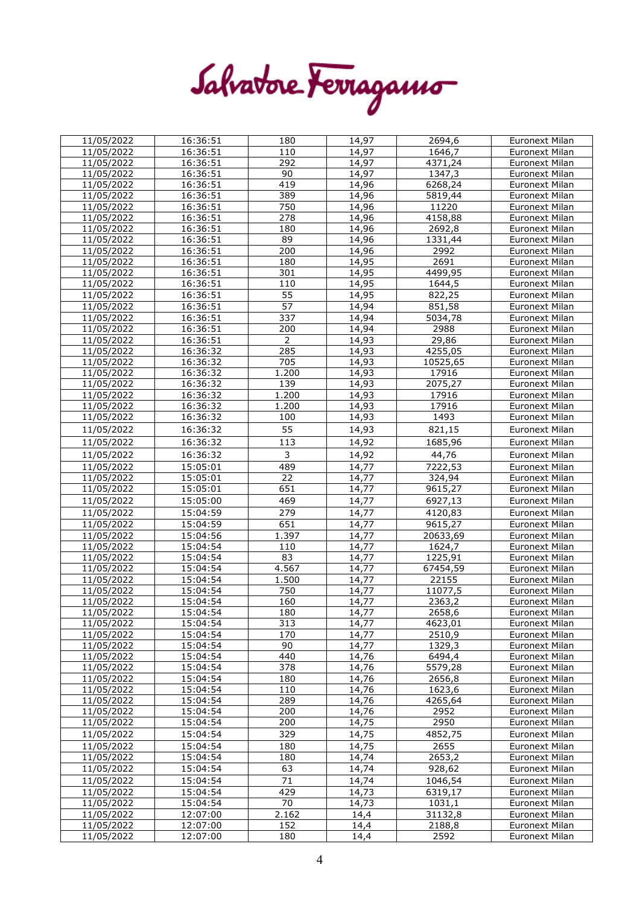|  | Salvatore Ferragamo |
|--|---------------------|
|--|---------------------|

| 11/05/2022 | 16:36:51 | 180                | 14,97 | 2694,6   | <b>Euronext Milan</b> |
|------------|----------|--------------------|-------|----------|-----------------------|
| 11/05/2022 | 16:36:51 | 110                | 14,97 | 1646,7   | Euronext Milan        |
| 11/05/2022 | 16:36:51 | 292                | 14,97 | 4371,24  | Euronext Milan        |
| 11/05/2022 | 16:36:51 | 90                 | 14,97 | 1347,3   | Euronext Milan        |
| 11/05/2022 | 16:36:51 | 419                | 14,96 | 6268,24  | <b>Euronext Milan</b> |
| 11/05/2022 | 16:36:51 | 389                | 14,96 | 5819,44  | <b>Euronext Milan</b> |
| 11/05/2022 | 16:36:51 | 750                | 14,96 | 11220    | Euronext Milan        |
| 11/05/2022 | 16:36:51 | 278                | 14,96 | 4158,88  | Euronext Milan        |
| 11/05/2022 | 16:36:51 | 180                | 14,96 | 2692,8   | <b>Euronext Milan</b> |
| 11/05/2022 | 16:36:51 | 89                 | 14,96 | 1331,44  | Euronext Milan        |
| 11/05/2022 | 16:36:51 | 200                | 14,96 | 2992     | Euronext Milan        |
| 11/05/2022 | 16:36:51 | 180                | 14,95 | 2691     | <b>Euronext Milan</b> |
| 11/05/2022 | 16:36:51 | 301                | 14,95 | 4499,95  | Euronext Milan        |
| 11/05/2022 | 16:36:51 | 110                | 14,95 | 1644,5   | <b>Euronext Milan</b> |
|            |          |                    |       |          |                       |
| 11/05/2022 | 16:36:51 | 55                 | 14,95 | 822,25   | Euronext Milan        |
| 11/05/2022 | 16:36:51 | 57                 | 14,94 | 851,58   | <b>Euronext Milan</b> |
| 11/05/2022 | 16:36:51 | $\frac{1}{337}$    | 14,94 | 5034,78  | Euronext Milan        |
| 11/05/2022 | 16:36:51 | 200                | 14,94 | 2988     | <b>Euronext Milan</b> |
| 11/05/2022 | 16:36:51 | $\overline{2}$     | 14,93 | 29,86    | Euronext Milan        |
| 11/05/2022 | 16:36:32 | 285                | 14,93 | 4255,05  | Euronext Milan        |
| 11/05/2022 | 16:36:32 | 705                | 14,93 | 10525,65 | Euronext Milan        |
| 11/05/2022 | 16:36:32 | 1.200              | 14,93 | 17916    | <b>Euronext Milan</b> |
| 11/05/2022 | 16:36:32 | 139                | 14,93 | 2075,27  | <b>Euronext Milan</b> |
| 11/05/2022 | 16:36:32 | 1.200              | 14,93 | 17916    | Euronext Milan        |
| 11/05/2022 | 16:36:32 | 1.200              | 14,93 | 17916    | <b>Euronext Milan</b> |
| 11/05/2022 | 16:36:32 | 100                | 14,93 | 1493     | Euronext Milan        |
| 11/05/2022 | 16:36:32 | 55                 | 14,93 | 821,15   | <b>Euronext Milan</b> |
|            |          |                    |       |          |                       |
| 11/05/2022 | 16:36:32 | 113                | 14,92 | 1685,96  | <b>Euronext Milan</b> |
| 11/05/2022 | 16:36:32 | 3                  | 14,92 | 44,76    | <b>Euronext Milan</b> |
| 11/05/2022 | 15:05:01 | 489                | 14,77 | 7222,53  | Euronext Milan        |
| 11/05/2022 | 15:05:01 | 22                 | 14,77 | 324,94   | Euronext Milan        |
| 11/05/2022 | 15:05:01 | 651                | 14,77 | 9615,27  | Euronext Milan        |
| 11/05/2022 | 15:05:00 | 469                | 14,77 | 6927,13  | Euronext Milan        |
| 11/05/2022 | 15:04:59 | 279                | 14,77 | 4120,83  | <b>Euronext Milan</b> |
| 11/05/2022 | 15:04:59 | 651                | 14,77 | 9615,27  | <b>Euronext Milan</b> |
| 11/05/2022 | 15:04:56 | 1.397              | 14,77 | 20633,69 | Euronext Milan        |
| 11/05/2022 | 15:04:54 | 110                | 14,77 | 1624,7   | Euronext Milan        |
| 11/05/2022 | 15:04:54 | 83                 | 14,77 | 1225,91  | Euronext Milan        |
|            | 15:04:54 | 4.567              | 14,77 |          |                       |
| 11/05/2022 |          |                    |       | 67454,59 | Euronext Milan        |
| 11/05/2022 | 15:04:54 | 1.500              | 14,77 | 22155    | Euronext Milan        |
| 11/05/2022 | 15:04:54 | 750                | 14,77 | 11077,5  | <b>Euronext Milan</b> |
| 11/05/2022 | 15:04:54 | 160                | 14,77 | 2363,2   | Euronext Milan        |
| 11/05/2022 | 15:04:54 | 180                | 14,77 | 2658,6   | <b>Euronext Milan</b> |
| 11/05/2022 | 15:04:54 | 313                | 14,77 | 4623,01  | <b>Euronext Milan</b> |
| 11/05/2022 | 15:04:54 | 170                | 14,77 | 2510,9   | <b>Euronext Milan</b> |
| 11/05/2022 | 15:04:54 | 90                 | 14,77 | 1329,3   | Euronext Milan        |
| 11/05/2022 | 15:04:54 | 440                | 14,76 | 6494,4   | Euronext Milan        |
| 11/05/2022 | 15:04:54 | 378                | 14,76 | 5579,28  | <b>Euronext Milan</b> |
| 11/05/2022 | 15:04:54 | 180                | 14,76 | 2656,8   | Euronext Milan        |
| 11/05/2022 | 15:04:54 | 110                | 14,76 | 1623,6   | <b>Euronext Milan</b> |
| 11/05/2022 | 15:04:54 | 289                | 14,76 | 4265,64  | Euronext Milan        |
| 11/05/2022 | 15:04:54 | 200                | 14,76 | 2952     | <b>Euronext Milan</b> |
| 11/05/2022 | 15:04:54 | 200                | 14,75 | 2950     | Euronext Milan        |
| 11/05/2022 | 15:04:54 | 329                | 14,75 | 4852,75  | <b>Euronext Milan</b> |
| 11/05/2022 | 15:04:54 | 180                | 14,75 | 2655     | Euronext Milan        |
| 11/05/2022 | 15:04:54 | 180                | 14,74 | 2653,2   | Euronext Milan        |
|            |          | 63                 |       |          |                       |
| 11/05/2022 | 15:04:54 |                    | 14,74 | 928,62   | Euronext Milan        |
| 11/05/2022 | 15:04:54 | 71                 | 14,74 | 1046,54  | <b>Euronext Milan</b> |
| 11/05/2022 | 15:04:54 | 429                | 14,73 | 6319,17  | Euronext Milan        |
| 11/05/2022 | 15:04:54 | 70                 | 14,73 | 1031,1   | Euronext Milan        |
| 11/05/2022 | 12:07:00 | $\overline{2.162}$ | 14,4  | 31132,8  | Euronext Milan        |
| 11/05/2022 | 12:07:00 | 152                | 14,4  | 2188,8   | Euronext Milan        |
| 11/05/2022 | 12:07:00 | 180                | 14,4  | 2592     | Euronext Milan        |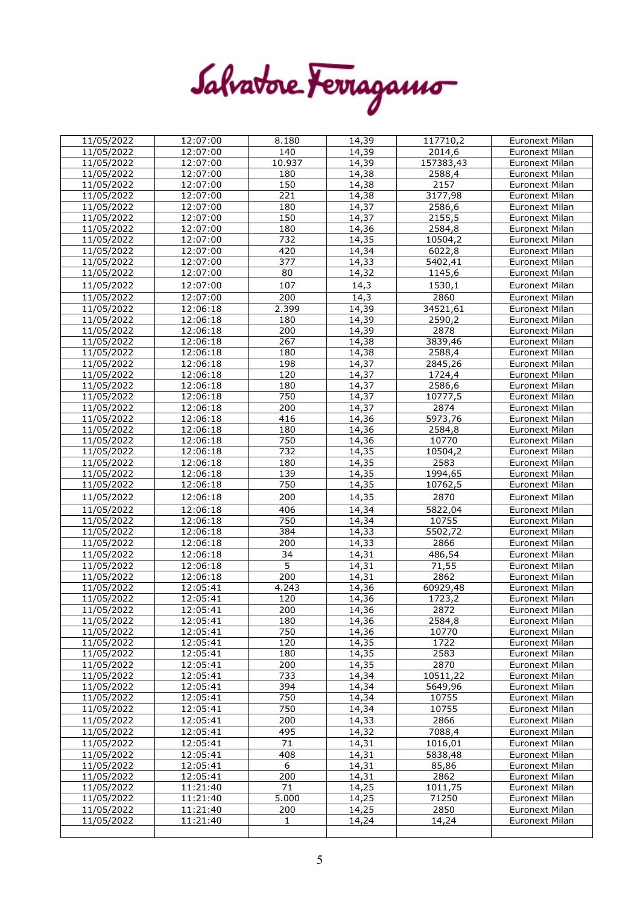Salvatore Ferragamo

| 11/05/2022 | 12:07:00 | 8.180          | 14,39 | 117710,2            | <b>Euronext Milan</b> |
|------------|----------|----------------|-------|---------------------|-----------------------|
| 11/05/2022 | 12:07:00 | 140            | 14,39 | $\overline{2014,6}$ | <b>Euronext Milan</b> |
| 11/05/2022 | 12:07:00 | 10.937         | 14,39 | 157383,43           | <b>Euronext Milan</b> |
| 11/05/2022 | 12:07:00 | 180            | 14,38 | 2588,4              | Euronext Milan        |
| 11/05/2022 | 12:07:00 | 150            | 14,38 | 2157                | Euronext Milan        |
| 11/05/2022 | 12:07:00 | 221            | 14,38 | 3177,98             | <b>Euronext Milan</b> |
| 11/05/2022 | 12:07:00 | 180            | 14,37 | 2586,6              | Euronext Milan        |
| 11/05/2022 | 12:07:00 | 150            | 14,37 | 2155,5              | Euronext Milan        |
| 11/05/2022 | 12:07:00 | 180            | 14,36 | 2584,8              | Euronext Milan        |
|            | 12:07:00 | 732            | 14,35 | 10504,2             |                       |
| 11/05/2022 |          |                |       |                     | <b>Euronext Milan</b> |
| 11/05/2022 | 12:07:00 | 420            | 14,34 | 6022,8              | Euronext Milan        |
| 11/05/2022 | 12:07:00 | 377            | 14,33 | 5402,41             | <b>Euronext Milan</b> |
| 11/05/2022 | 12:07:00 | 80             | 14,32 | 1145,6              | <b>Euronext Milan</b> |
| 11/05/2022 | 12:07:00 | 107            | 14,3  | 1530,1              | <b>Euronext Milan</b> |
| 11/05/2022 | 12:07:00 | 200            | 14,3  | 2860                | <b>Euronext Milan</b> |
| 11/05/2022 | 12:06:18 | 2.399          | 14,39 | 34521,61            | Euronext Milan        |
| 11/05/2022 | 12:06:18 | 180            | 14,39 | 2590,2              | Euronext Milan        |
| 11/05/2022 | 12:06:18 | 200            | 14,39 | 2878                | <b>Euronext Milan</b> |
| 11/05/2022 | 12:06:18 | 267            | 14,38 | 3839,46             | <b>Euronext Milan</b> |
|            |          |                |       |                     |                       |
| 11/05/2022 | 12:06:18 | 180            | 14,38 | 2588,4              | Euronext Milan        |
| 11/05/2022 | 12:06:18 | 198            | 14,37 | 2845,26             | <b>Euronext Milan</b> |
| 11/05/2022 | 12:06:18 | 120            | 14,37 | 1724,4              | <b>Euronext Milan</b> |
| 11/05/2022 | 12:06:18 | 180            | 14,37 | 2586,6              | Euronext Milan        |
| 11/05/2022 | 12:06:18 | 750            | 14,37 | 10777,5             | <b>Euronext Milan</b> |
| 11/05/2022 | 12:06:18 | 200            | 14,37 | 2874                | <b>Euronext Milan</b> |
| 11/05/2022 | 12:06:18 | 416            | 14,36 | 5973,76             | <b>Euronext Milan</b> |
| 11/05/2022 | 12:06:18 | 180            | 14,36 | 2584,8              | Euronext Milan        |
| 11/05/2022 | 12:06:18 | 750            | 14,36 | 10770               | <b>Euronext Milan</b> |
| 11/05/2022 | 12:06:18 | 732            | 14,35 | 10504,2             | Euronext Milan        |
| 11/05/2022 | 12:06:18 | 180            | 14,35 | 2583                | Euronext Milan        |
| 11/05/2022 | 12:06:18 | 139            | 14,35 | 1994,65             | Euronext Milan        |
| 11/05/2022 | 12:06:18 | 750            | 14,35 | 10762,5             | <b>Euronext Milan</b> |
|            |          |                |       |                     |                       |
| 11/05/2022 | 12:06:18 | 200            | 14,35 | 2870                | <b>Euronext Milan</b> |
| 11/05/2022 | 12:06:18 | 406            | 14,34 | 5822,04             | Euronext Milan        |
| 11/05/2022 | 12:06:18 | 750            | 14,34 | 10755               | Euronext Milan        |
| 11/05/2022 | 12:06:18 | 384            | 14,33 | 5502,72             | Euronext Milan        |
| 11/05/2022 | 12:06:18 | 200            | 14,33 | 2866                | <b>Euronext Milan</b> |
| 11/05/2022 | 12:06:18 | 34             | 14,31 | 486,54              | <b>Euronext Milan</b> |
| 11/05/2022 | 12:06:18 | $\overline{5}$ | 14,31 | 71,55               | <b>Euronext Milan</b> |
| 11/05/2022 | 12:06:18 | 200            | 14,31 | 2862                | <b>Euronext Milan</b> |
| 11/05/2022 | 12:05:41 | 4.243          | 14,36 | 60929,48            | Euronext Milan        |
| 11/05/2022 | 12:05:41 | 120            | 14,36 | 1723,2              | Euronext Milan        |
| 11/05/2022 | 12:05:41 | 200            | 14,36 | 2872                | Euronext Milan        |
|            |          |                |       |                     |                       |
| 11/05/2022 | 12:05:41 | 180            | 14,36 | 2584,8              | Euronext Milan        |
| 11/05/2022 | 12:05:41 | 750            | 14,36 | 10770               | <b>Euronext Milan</b> |
| 11/05/2022 | 12:05:41 | 120            | 14,35 | 1722                | Euronext Milan        |
| 11/05/2022 | 12:05:41 | 180            | 14,35 | 2583                | <b>Euronext Milan</b> |
| 11/05/2022 | 12:05:41 | 200            | 14,35 | 2870                | <b>Euronext Milan</b> |
| 11/05/2022 | 12:05:41 | 733            | 14,34 | 10511,22            | Euronext Milan        |
| 11/05/2022 | 12:05:41 | 394            | 14,34 | 5649,96             | Euronext Milan        |
| 11/05/2022 | 12:05:41 | 750            | 14,34 | 10755               | <b>Euronext Milan</b> |
| 11/05/2022 | 12:05:41 | 750            | 14,34 | 10755               | Euronext Milan        |
| 11/05/2022 | 12:05:41 | 200            | 14,33 | 2866                | Euronext Milan        |
| 11/05/2022 | 12:05:41 | 495            | 14,32 | 7088,4              | Euronext Milan        |
| 11/05/2022 | 12:05:41 | 71             | 14,31 | 1016,01             | <b>Euronext Milan</b> |
|            | 12:05:41 | 408            | 14,31 | 5838,48             | <b>Euronext Milan</b> |
| 11/05/2022 |          |                |       |                     |                       |
| 11/05/2022 | 12:05:41 | 6              | 14,31 | 85,86               | Euronext Milan        |
| 11/05/2022 | 12:05:41 | 200            | 14,31 | 2862                | Euronext Milan        |
| 11/05/2022 | 11:21:40 | 71             | 14,25 | 1011,75             | <b>Euronext Milan</b> |
| 11/05/2022 | 11:21:40 | 5.000          | 14,25 | 71250               | Euronext Milan        |
|            |          |                |       |                     |                       |
| 11/05/2022 | 11:21:40 | 200            | 14,25 | 2850                | Euronext Milan        |
| 11/05/2022 | 11:21:40 | 1              | 14,24 | 14,24               | Euronext Milan        |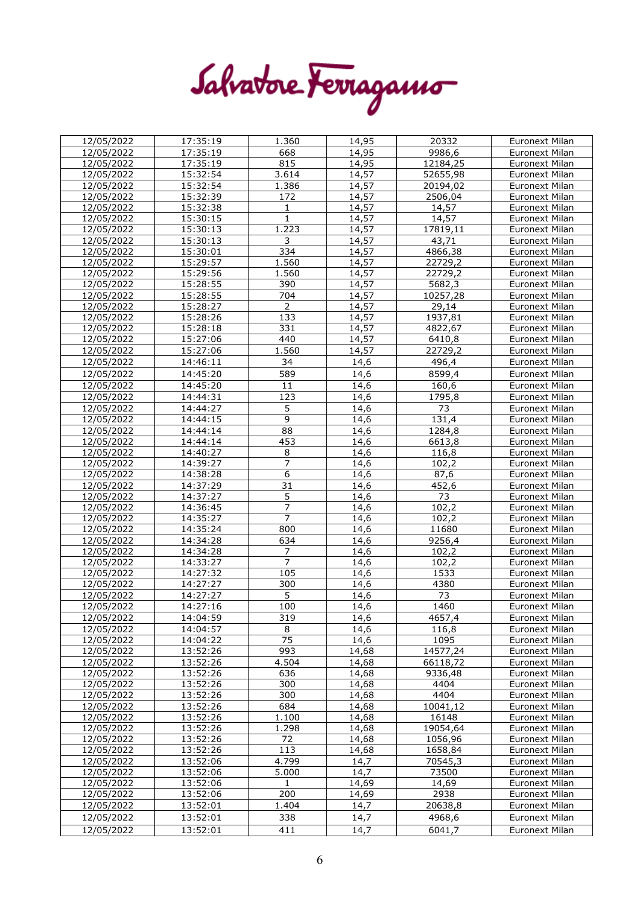| Salvatore Ferragamo |
|---------------------|
|                     |

| 12/05/2022 | 17:35:19 | 1.360           | 14,95 | 20332           | Euronext Milan        |
|------------|----------|-----------------|-------|-----------------|-----------------------|
| 12/05/2022 | 17:35:19 | 668             | 14,95 | 9986,6          | <b>Euronext Milan</b> |
| 12/05/2022 | 17:35:19 | 815             | 14,95 | 12184,25        | Euronext Milan        |
| 12/05/2022 | 15:32:54 | 3.614           | 14,57 | 52655,98        | Euronext Milan        |
| 12/05/2022 | 15:32:54 | 1.386           | 14,57 | 20194,02        | Euronext Milan        |
| 12/05/2022 | 15:32:39 | 172             | 14,57 | 2506,04         | <b>Euronext Milan</b> |
| 12/05/2022 | 15:32:38 | 1               | 14,57 | 14,57           | <b>Euronext Milan</b> |
| 12/05/2022 | 15:30:15 | $\mathbf{1}$    | 14,57 | 14,57           | Euronext Milan        |
| 12/05/2022 | 15:30:13 | 1.223           | 14,57 | 17819,11        | Euronext Milan        |
|            | 15:30:13 | 3               | 14,57 |                 |                       |
| 12/05/2022 |          |                 |       | 43,71           | <b>Euronext Milan</b> |
| 12/05/2022 | 15:30:01 | 334             | 14,57 | 4866,38         | Euronext Milan        |
| 12/05/2022 | 15:29:57 | 1.560           | 14,57 | 22729,2         | Euronext Milan        |
| 12/05/2022 | 15:29:56 | 1.560           | 14,57 | 22729,2         | <b>Euronext Milan</b> |
| 12/05/2022 | 15:28:55 | 390             | 14,57 | 5682,3          | <b>Euronext Milan</b> |
| 12/05/2022 | 15:28:55 | 704             | 14,57 | 10257,28        | Euronext Milan        |
| 12/05/2022 | 15:28:27 | $\overline{2}$  | 14,57 | 29,14           | <b>Euronext Milan</b> |
| 12/05/2022 | 15:28:26 | 133             | 14,57 | 1937,81         | <b>Euronext Milan</b> |
| 12/05/2022 | 15:28:18 | 331             | 14,57 | 4822,67         | Euronext Milan        |
| 12/05/2022 | 15:27:06 | 440             | 14,57 | 6410,8          | Euronext Milan        |
| 12/05/2022 | 15:27:06 | 1.560           | 14,57 | 22729,2         | <b>Euronext Milan</b> |
| 12/05/2022 | 14:46:11 | 34              | 14,6  | 496,4           | <b>Euronext Milan</b> |
| 12/05/2022 | 14:45:20 | 589             | 14,6  | 8599,4          | <b>Euronext Milan</b> |
| 12/05/2022 | 14:45:20 | 11              | 14,6  | 160,6           | <b>Euronext Milan</b> |
|            |          |                 |       |                 |                       |
| 12/05/2022 | 14:44:31 | 123             | 14,6  | 1795,8          | <b>Euronext Milan</b> |
| 12/05/2022 | 14:44:27 | $\overline{5}$  | 14,6  | $\overline{73}$ | Euronext Milan        |
| 12/05/2022 | 14:44:15 | $\overline{9}$  | 14,6  | 131,4           | <b>Euronext Milan</b> |
| 12/05/2022 | 14:44:14 | $\overline{88}$ | 14,6  | 1284,8          | <b>Euronext Milan</b> |
| 12/05/2022 | 14:44:14 | 453             | 14,6  | 6613,8          | Euronext Milan        |
| 12/05/2022 | 14:40:27 | $\,8\,$         | 14,6  | 116,8           | Euronext Milan        |
| 12/05/2022 | 14:39:27 | $\overline{7}$  | 14,6  | 102,2           | Euronext Milan        |
| 12/05/2022 | 14:38:28 | 6               | 14,6  | 87,6            | Euronext Milan        |
| 12/05/2022 | 14:37:29 | $\overline{31}$ | 14,6  | 452,6           | <b>Euronext Milan</b> |
| 12/05/2022 | 14:37:27 | $\overline{5}$  | 14,6  | 73              | Euronext Milan        |
| 12/05/2022 | 14:36:45 | $\overline{7}$  | 14,6  | 102,2           | Euronext Milan        |
| 12/05/2022 | 14:35:27 | $\overline{7}$  | 14,6  | 102,2           | <b>Euronext Milan</b> |
| 12/05/2022 | 14:35:24 | 800             | 14,6  | 11680           | Euronext Milan        |
| 12/05/2022 | 14:34:28 | 634             | 14,6  | 9256,4          | Euronext Milan        |
| 12/05/2022 | 14:34:28 | 7               | 14,6  | 102,2           | <b>Euronext Milan</b> |
| 12/05/2022 | 14:33:27 | 7               | 14,6  | 102,2           | Euronext Milan        |
| 12/05/2022 | 14:27:32 | 105             | 14,6  | 1533            | Euronext Milan        |
| 12/05/2022 | 14:27:27 | 300             | 14,6  | 4380            | <b>Euronext Milan</b> |
| 12/05/2022 | 14:27:27 | 5               | 14,6  | 73              | <b>Euronext Milan</b> |
| 12/05/2022 | 14:27:16 | 100             |       | 1460            | Euronext Milan        |
|            |          |                 | 14,6  |                 |                       |
| 12/05/2022 | 14:04:59 | 319             | 14,6  | 4657,4          | Euronext Milan        |
| 12/05/2022 | 14:04:57 | 8               | 14,6  | 116,8           | Euronext Milan        |
| 12/05/2022 | 14:04:22 | 75              | 14,6  | 1095            | <b>Euronext Milan</b> |
| 12/05/2022 | 13:52:26 | 993             | 14,68 | 14577,24        | Euronext Milan        |
| 12/05/2022 | 13:52:26 | 4.504           | 14,68 | 66118,72        | <b>Euronext Milan</b> |
| 12/05/2022 | 13:52:26 | 636             | 14,68 | 9336,48         | Euronext Milan        |
| 12/05/2022 | 13:52:26 | 300             | 14,68 | 4404            | Euronext Milan        |
| 12/05/2022 | 13:52:26 | 300             | 14,68 | 4404            | Euronext Milan        |
| 12/05/2022 | 13:52:26 | 684             | 14,68 | 10041,12        | <b>Euronext Milan</b> |
| 12/05/2022 | 13:52:26 | 1.100           | 14,68 | 16148           | <b>Euronext Milan</b> |
| 12/05/2022 | 13:52:26 | 1.298           | 14,68 | 19054,64        | Euronext Milan        |
| 12/05/2022 | 13:52:26 | 72              | 14,68 | 1056,96         | Euronext Milan        |
| 12/05/2022 | 13:52:26 | 113             | 14,68 | 1658,84         | <b>Euronext Milan</b> |
| 12/05/2022 | 13:52:06 | 4.799           | 14,7  | 70545,3         | Euronext Milan        |
| 12/05/2022 | 13:52:06 | 5.000           | 14,7  | 73500           | Euronext Milan        |
| 12/05/2022 | 13:52:06 | $\mathbf{1}$    | 14,69 | 14,69           | <b>Euronext Milan</b> |
|            | 13:52:06 | 200             | 14,69 | 2938            | <b>Euronext Milan</b> |
| 12/05/2022 |          |                 |       |                 |                       |
| 12/05/2022 | 13:52:01 | 1.404           | 14,7  | 20638,8         | Euronext Milan        |
| 12/05/2022 | 13:52:01 | 338             | 14,7  | 4968,6          | Euronext Milan        |
| 12/05/2022 | 13:52:01 | 411             | 14,7  | 6041,7          | Euronext Milan        |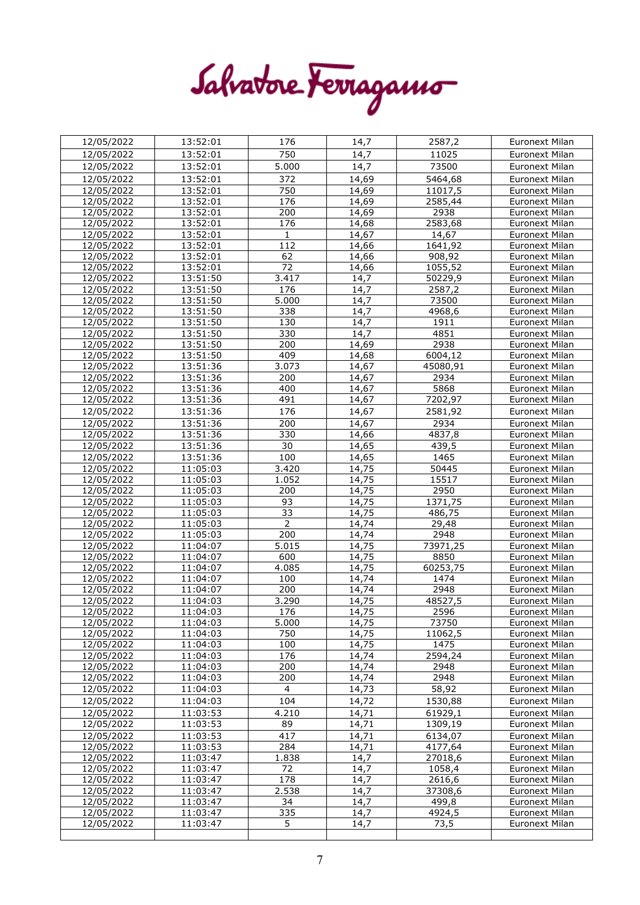Salvatore Ferragamo

| 12/05/2022               | 13:52:01               | 176            | 14,7              | 2587,2             | Euronext Milan                   |
|--------------------------|------------------------|----------------|-------------------|--------------------|----------------------------------|
| 12/05/2022               | 13:52:01               | 750            | 14,7              | 11025              | Euronext Milan                   |
| 12/05/2022               | 13:52:01               | 5.000          | 14,7              | 73500              | <b>Euronext Milan</b>            |
| 12/05/2022               | 13:52:01               | 372            | 14,69             | 5464,68            | Euronext Milan                   |
| 12/05/2022               | 13:52:01               | 750            | 14,69             | 11017,5            | <b>Euronext Milan</b>            |
| 12/05/2022               | 13:52:01               | 176            | 14,69             | 2585,44            | Euronext Milan                   |
| 12/05/2022               | 13:52:01               | 200            | 14,69             | 2938               | Euronext Milan                   |
| 12/05/2022               | 13:52:01               | 176            | 14,68             | 2583,68            | Euronext Milan                   |
| 12/05/2022               | 13:52:01               | $\mathbf{1}$   | 14,67             | 14,67              | Euronext Milan                   |
| 12/05/2022               | 13:52:01               | 112            | 14,66             | 1641,92            | Euronext Milan                   |
| 12/05/2022               | 13:52:01               | 62             | 14,66             | 908,92             | Euronext Milan                   |
| 12/05/2022               | 13:52:01               | 72             | 14,66             | 1055,52            | Euronext Milan                   |
| 12/05/2022               | 13:51:50               | 3.417          | 14,7              | 50229,9            | Euronext Milan                   |
| 12/05/2022               | 13:51:50               | 176            | $\overline{14,7}$ | 2587,2             | Euronext Milan                   |
| 12/05/2022               | 13:51:50               | 5.000          | 14,7              | 73500              | Euronext Milan                   |
| 12/05/2022               | 13:51:50               | 338            | 14,7              | 4968,6             | <b>Euronext Milan</b>            |
| 12/05/2022               | 13:51:50               | 130            | 14,7              | 1911               | Euronext Milan                   |
| 12/05/2022               | 13:51:50               | 330            | $\overline{14,7}$ | 4851               | Euronext Milan                   |
| 12/05/2022               | 13:51:50               | 200            | 14,69             | 2938               | <b>Euronext Milan</b>            |
| 12/05/2022               | 13:51:50               | 409            | 14,68             | 6004,12            | Euronext Milan                   |
| 12/05/2022               | 13:51:36               | 3.073          | 14,67             | 45080,91           | <b>Euronext Milan</b>            |
| 12/05/2022               | 13:51:36               | 200            | 14,67             | 2934               | Euronext Milan                   |
| 12/05/2022               | 13:51:36               | 400            | 14,67             | 5868               | Euronext Milan                   |
| 12/05/2022               | 13:51:36               | 491            | 14,67             | 7202,97            | Euronext Milan                   |
| 12/05/2022               | 13:51:36               | 176            | 14,67             | 2581,92            | <b>Euronext Milan</b>            |
| 12/05/2022               | 13:51:36               | 200            | 14,67             | 2934               | Euronext Milan                   |
| 12/05/2022               | 13:51:36               | 330            | 14,66             | 4837,8             | <b>Euronext Milan</b>            |
| 12/05/2022               | 13:51:36               | 30             | 14,65             | 439,5              | Euronext Milan                   |
| 12/05/2022               | 13:51:36               | 100            | 14,65             | 1465               | <b>Euronext Milan</b>            |
| 12/05/2022               | 11:05:03               | 3.420          | 14,75             | 50445              | <b>Euronext Milan</b>            |
| 12/05/2022               | 11:05:03               | 1.052          | 14,75             | 15517              | <b>Euronext Milan</b>            |
| 12/05/2022               | 11:05:03               | 200            | 14,75             | 2950               | Euronext Milan                   |
| 12/05/2022               | 11:05:03               | 93             | 14,75             | 1371,75            | Euronext Milan                   |
| 12/05/2022               | 11:05:03               | 33             | 14,75             | 486,75             | <b>Euronext Milan</b>            |
| 12/05/2022               | 11:05:03               | $\overline{2}$ | 14,74             | 29,48              | Euronext Milan                   |
| 12/05/2022               | 11:05:03               | 200            | 14,74             | 2948               | Euronext Milan                   |
| 12/05/2022               | 11:04:07               | 5.015          | 14,75             | 73971,25           | Euronext Milan                   |
| 12/05/2022               | 11:04:07               | 600            | 14,75             | 8850               | Euronext Milan                   |
| 12/05/2022               | 11:04:07               | 4.085          | 14,75             | 60253,75           | Euronext Milan                   |
| 12/05/2022               | $\overline{11}$ :04:07 | 100            | 14,74             | 1474               | Euronext Milan                   |
| $\overline{12}/05/2022$  | 11:04:07               | 200            | 14,74             | 2948               | Euronext Milan                   |
| 12/05/2022               | 11:04:03               | 3.290          | 14,75             | 48527,5            | Euronext Milan                   |
| 12/05/2022               | 11:04:03               | 176            | 14,75             | 2596               | <b>Euronext Milan</b>            |
| 12/05/2022               | 11:04:03               | 5.000          | 14,75             | 73750              | Euronext Milan                   |
| 12/05/2022               | 11:04:03               | 750            | 14,75             | 11062,5            | <b>Euronext Milan</b>            |
| 12/05/2022<br>12/05/2022 | 11:04:03<br>11:04:03   | 100<br>176     | 14,75<br>14,74    | 1475<br>2594,24    | Euronext Milan<br>Euronext Milan |
| 12/05/2022               | 11:04:03               | 200            | 14,74             | 2948               | Euronext Milan                   |
| 12/05/2022               | 11:04:03               | 200            | 14,74             | 2948               | <b>Euronext Milan</b>            |
| 12/05/2022               | 11:04:03               | $\overline{4}$ | 14,73             | 58,92              | Euronext Milan                   |
| 12/05/2022               | 11:04:03               | 104            | 14,72             |                    | <b>Euronext Milan</b>            |
|                          |                        |                |                   | 1530,88            |                                  |
| 12/05/2022               | 11:03:53               | 4.210          | 14,71<br>14,71    | 61929,1<br>1309,19 | Euronext Milan                   |
| 12/05/2022               |                        |                |                   |                    | <b>Euronext Milan</b>            |
|                          | 11:03:53               | 89             |                   |                    |                                  |
| 12/05/2022               | 11:03:53               | 417            | 14,71             | 6134,07            | <b>Euronext Milan</b>            |
| 12/05/2022               | 11:03:53               | 284            | 14,71             | 4177,64            | Euronext Milan                   |
| 12/05/2022               | 11:03:47               | 1.838          | 14,7              | 27018,6            | <b>Euronext Milan</b>            |
| 12/05/2022               | 11:03:47               | 72             | 14,7              | 1058,4             | Euronext Milan                   |
| 12/05/2022               | 11:03:47               | 178            | 14,7              | 2616,6             | Euronext Milan                   |
| 12/05/2022               | 11:03:47               | 2.538          | 14,7              | 37308,6            | Euronext Milan                   |
| 12/05/2022               | 11:03:47               | 34             | 14,7              | 499,8              | Euronext Milan                   |
| 12/05/2022<br>12/05/2022 | 11:03:47<br>11:03:47   | 335<br>5       | 14,7<br>14,7      | 4924,5<br>73,5     | Euronext Milan<br>Euronext Milan |